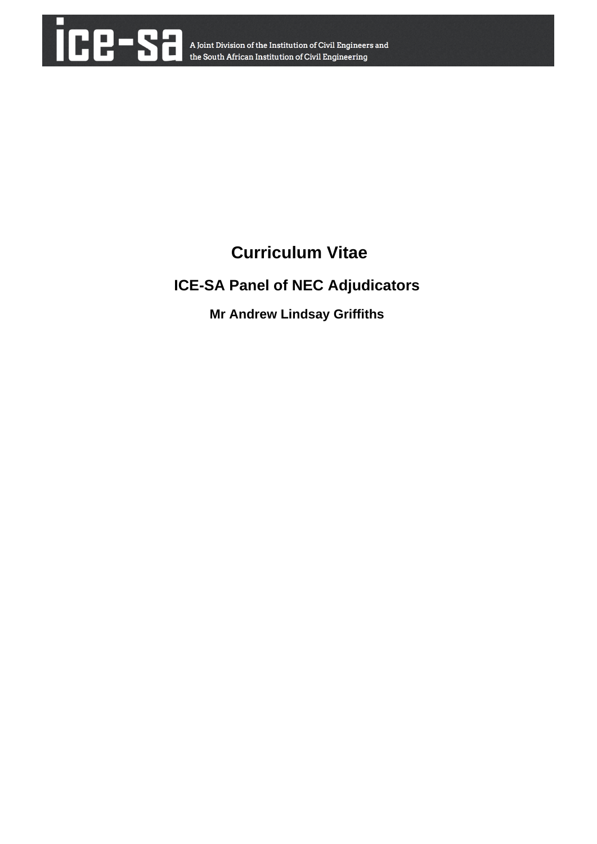

# **Curriculum Vitae**

# **ICE-SA Panel of NEC Adjudicators**

**Mr Andrew Lindsay Griffiths**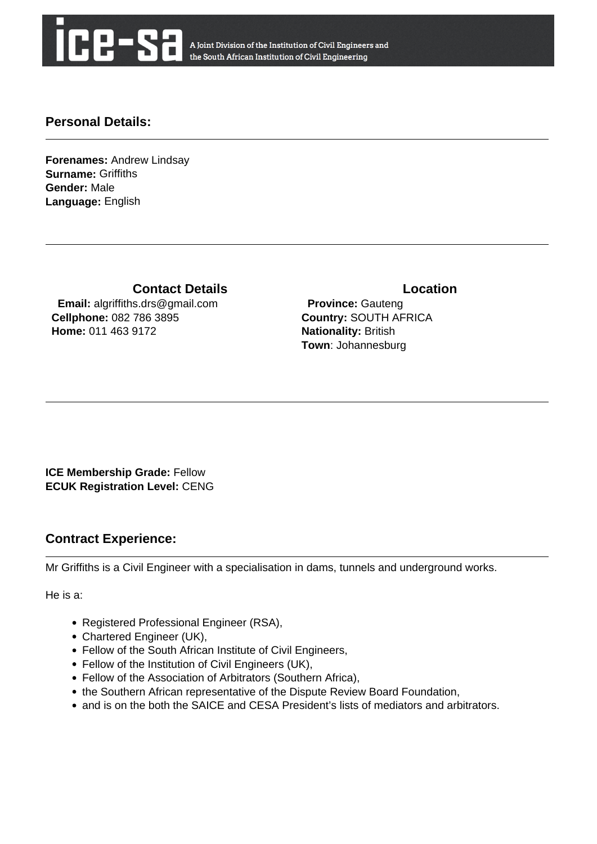

A Joint Division of the Institution of Civil Engineers and the South African Institution of Civil Engineering

## **Personal Details:**

**Forenames:** Andrew Lindsay **Surname:** Griffiths **Gender:** Male **Language:** English

**Contact Details Contact Details** 

 **Email:** algriffiths.drs@gmail.com **Cellphone:** 082 786 3895 **Home:** 011 463 9172

 **Province:** Gauteng **Country:** SOUTH AFRICA **Nationality:** British **Town**: Johannesburg

**ICE Membership Grade:** Fellow **ECUK Registration Level:** CENG

## **Contract Experience:**

Mr Griffiths is a Civil Engineer with a specialisation in dams, tunnels and underground works.

He is a:

- Registered Professional Engineer (RSA),
- Chartered Engineer (UK),
- Fellow of the South African Institute of Civil Engineers,
- Fellow of the Institution of Civil Engineers (UK),
- Fellow of the Association of Arbitrators (Southern Africa),
- the Southern African representative of the Dispute Review Board Foundation,
- and is on the both the SAICE and CESA President's lists of mediators and arbitrators.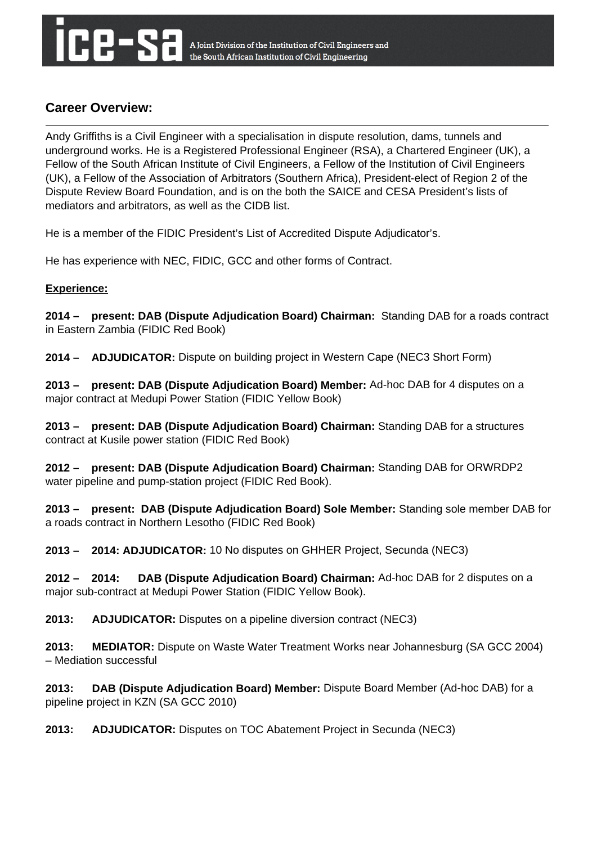# **Career Overview:**

Andy Griffiths is a Civil Engineer with a specialisation in dispute resolution, dams, tunnels and underground works. He is a Registered Professional Engineer (RSA), a Chartered Engineer (UK), a Fellow of the South African Institute of Civil Engineers, a Fellow of the Institution of Civil Engineers (UK), a Fellow of the Association of Arbitrators (Southern Africa), President-elect of Region 2 of the Dispute Review Board Foundation, and is on the both the SAICE and CESA President's lists of mediators and arbitrators, as well as the CIDB list.

He is a member of the FIDIC President's List of Accredited Dispute Adjudicator's.

He has experience with NEC, FIDIC, GCC and other forms of Contract.

### **Experience:**

**2014 – present: DAB (Dispute Adjudication Board) Chairman:** Standing DAB for a roads contract in Eastern Zambia (FIDIC Red Book)

**2014 – ADJUDICATOR:** Dispute on building project in Western Cape (NEC3 Short Form)

**2013 – present: DAB (Dispute Adjudication Board) Member:** Ad-hoc DAB for 4 disputes on a major contract at Medupi Power Station (FIDIC Yellow Book)

**2013 – present: DAB (Dispute Adjudication Board) Chairman:** Standing DAB for a structures contract at Kusile power station (FIDIC Red Book)

**2012 – present: DAB (Dispute Adjudication Board) Chairman:** Standing DAB for ORWRDP2 water pipeline and pump-station project (FIDIC Red Book).

**2013 – present: DAB (Dispute Adjudication Board) Sole Member:** Standing sole member DAB for a roads contract in Northern Lesotho (FIDIC Red Book)

**2013 – 2014: ADJUDICATOR:** 10 No disputes on GHHER Project, Secunda (NEC3)

**2012 – 2014: DAB (Dispute Adjudication Board) Chairman:** Ad-hoc DAB for 2 disputes on a major sub-contract at Medupi Power Station (FIDIC Yellow Book).

**2013: ADJUDICATOR:** Disputes on a pipeline diversion contract (NEC3)

**2013: MEDIATOR:** Dispute on Waste Water Treatment Works near Johannesburg (SA GCC 2004) – Mediation successful

**2013: DAB (Dispute Adjudication Board) Member:** Dispute Board Member (Ad-hoc DAB) for a pipeline project in KZN (SA GCC 2010)

**2013: ADJUDICATOR:** Disputes on TOC Abatement Project in Secunda (NEC3)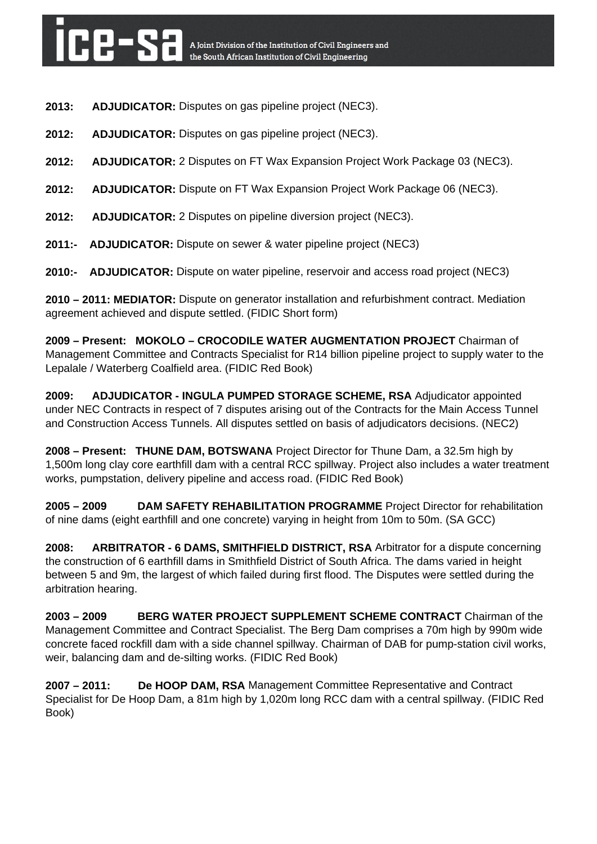- **2013: ADJUDICATOR:** Disputes on gas pipeline project (NEC3).
- **2012: ADJUDICATOR:** Disputes on gas pipeline project (NEC3).
- **2012: ADJUDICATOR:** 2 Disputes on FT Wax Expansion Project Work Package 03 (NEC3).
- **2012: ADJUDICATOR:** Dispute on FT Wax Expansion Project Work Package 06 (NEC3).
- **2012: ADJUDICATOR:** 2 Disputes on pipeline diversion project (NEC3).
- **2011:- ADJUDICATOR:** Dispute on sewer & water pipeline project (NEC3)
- **2010:- ADJUDICATOR:** Dispute on water pipeline, reservoir and access road project (NEC3)

**2010 – 2011: MEDIATOR:** Dispute on generator installation and refurbishment contract. Mediation agreement achieved and dispute settled. (FIDIC Short form)

**2009 – Present: MOKOLO – CROCODILE WATER AUGMENTATION PROJECT** Chairman of Management Committee and Contracts Specialist for R14 billion pipeline project to supply water to the Lepalale / Waterberg Coalfield area. (FIDIC Red Book)

**2009: ADJUDICATOR - INGULA PUMPED STORAGE SCHEME, RSA** Adjudicator appointed under NEC Contracts in respect of 7 disputes arising out of the Contracts for the Main Access Tunnel and Construction Access Tunnels. All disputes settled on basis of adjudicators decisions. (NEC2)

**2008 – Present: THUNE DAM, BOTSWANA** Project Director for Thune Dam, a 32.5m high by 1,500m long clay core earthfill dam with a central RCC spillway. Project also includes a water treatment works, pumpstation, delivery pipeline and access road. (FIDIC Red Book)

**2005 – 2009 DAM SAFETY REHABILITATION PROGRAMME** Project Director for rehabilitation of nine dams (eight earthfill and one concrete) varying in height from 10m to 50m. (SA GCC)

**2008: ARBITRATOR - 6 DAMS, SMITHFIELD DISTRICT, RSA** Arbitrator for a dispute concerning the construction of 6 earthfill dams in Smithfield District of South Africa. The dams varied in height between 5 and 9m, the largest of which failed during first flood. The Disputes were settled during the arbitration hearing.

**2003 – 2009 BERG WATER PROJECT SUPPLEMENT SCHEME CONTRACT** Chairman of the Management Committee and Contract Specialist. The Berg Dam comprises a 70m high by 990m wide concrete faced rockfill dam with a side channel spillway. Chairman of DAB for pump-station civil works, weir, balancing dam and de-silting works. (FIDIC Red Book)

**2007 – 2011: De HOOP DAM, RSA** Management Committee Representative and Contract Specialist for De Hoop Dam, a 81m high by 1,020m long RCC dam with a central spillway. (FIDIC Red Book)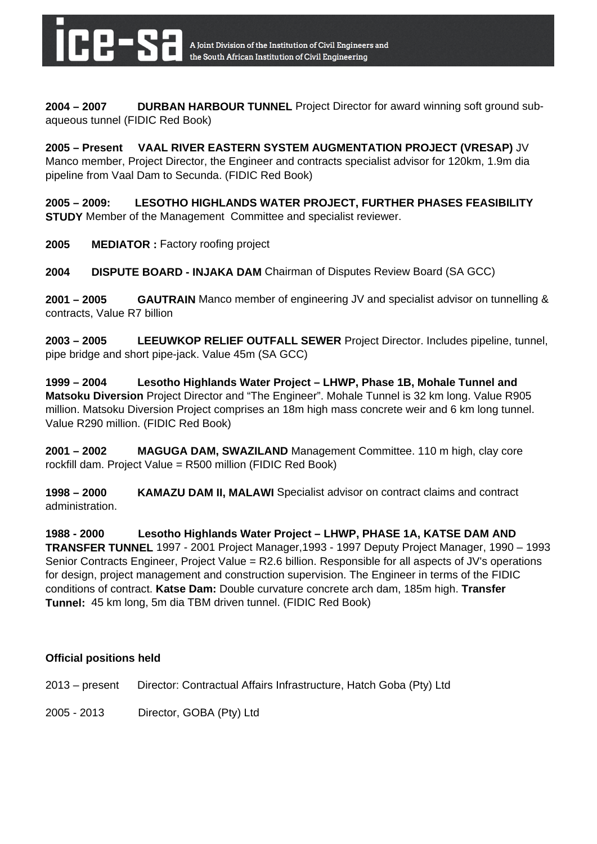

**2004 – 2007 DURBAN HARBOUR TUNNEL** Project Director for award winning soft ground subaqueous tunnel (FIDIC Red Book)

**2005 – Present VAAL RIVER EASTERN SYSTEM AUGMENTATION PROJECT (VRESAP)** JV Manco member, Project Director, the Engineer and contracts specialist advisor for 120km, 1.9m dia pipeline from Vaal Dam to Secunda. (FIDIC Red Book)

**2005 – 2009: LESOTHO HIGHLANDS WATER PROJECT, FURTHER PHASES FEASIBILITY STUDY** Member of the Management Committee and specialist reviewer.

**2005 MEDIATOR :** Factory roofing project

**2004 DISPUTE BOARD - INJAKA DAM** Chairman of Disputes Review Board (SA GCC)

**2001 – 2005 GAUTRAIN** Manco member of engineering JV and specialist advisor on tunnelling & contracts, Value R7 billion

**2003 – 2005 LEEUWKOP RELIEF OUTFALL SEWER** Project Director. Includes pipeline, tunnel, pipe bridge and short pipe-jack. Value 45m (SA GCC)

**1999 – 2004 Lesotho Highlands Water Project – LHWP, Phase 1B, Mohale Tunnel and Matsoku Diversion** Project Director and "The Engineer". Mohale Tunnel is 32 km long. Value R905 million. Matsoku Diversion Project comprises an 18m high mass concrete weir and 6 km long tunnel. Value R290 million. (FIDIC Red Book)

**2001 – 2002 MAGUGA DAM, SWAZILAND** Management Committee. 110 m high, clay core rockfill dam. Project Value = R500 million (FIDIC Red Book)

**1998 – 2000 KAMAZU DAM II, MALAWI** Specialist advisor on contract claims and contract administration.

**1988 - 2000 Lesotho Highlands Water Project – LHWP, PHASE 1A, KATSE DAM AND TRANSFER TUNNEL** 1997 - 2001 Project Manager,1993 - 1997 Deputy Project Manager, 1990 – 1993 Senior Contracts Engineer, Project Value = R2.6 billion. Responsible for all aspects of JV's operations for design, project management and construction supervision. The Engineer in terms of the FIDIC conditions of contract. **Katse Dam:** Double curvature concrete arch dam, 185m high. **Transfer Tunnel:** 45 km long, 5m dia TBM driven tunnel. (FIDIC Red Book)

### **Official positions held**

2013 – present Director: Contractual Affairs Infrastructure, Hatch Goba (Pty) Ltd

2005 - 2013 Director, GOBA (Pty) Ltd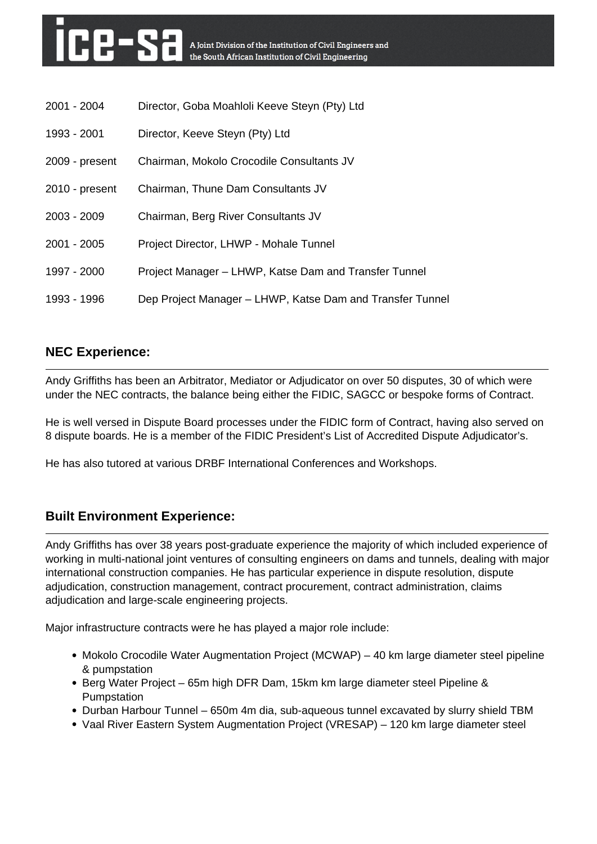| 2001 - 2004    | Director, Goba Moahloli Keeve Steyn (Pty) Ltd             |
|----------------|-----------------------------------------------------------|
| 1993 - 2001    | Director, Keeve Steyn (Pty) Ltd                           |
| 2009 - present | Chairman, Mokolo Crocodile Consultants JV                 |
| 2010 - present | Chairman, Thune Dam Consultants JV                        |
| $2003 - 2009$  | Chairman, Berg River Consultants JV                       |
| $2001 - 2005$  | Project Director, LHWP - Mohale Tunnel                    |
| 1997 - 2000    | Project Manager – LHWP, Katse Dam and Transfer Tunnel     |
| 1993 - 1996    | Dep Project Manager – LHWP, Katse Dam and Transfer Tunnel |

# **NEC Experience:**

Andy Griffiths has been an Arbitrator, Mediator or Adjudicator on over 50 disputes, 30 of which were under the NEC contracts, the balance being either the FIDIC, SAGCC or bespoke forms of Contract.

He is well versed in Dispute Board processes under the FIDIC form of Contract, having also served on 8 dispute boards. He is a member of the FIDIC President's List of Accredited Dispute Adjudicator's.

He has also tutored at various DRBF International Conferences and Workshops.

# **Built Environment Experience:**

Andy Griffiths has over 38 years post-graduate experience the majority of which included experience of working in multi-national joint ventures of consulting engineers on dams and tunnels, dealing with major international construction companies. He has particular experience in dispute resolution, dispute adjudication, construction management, contract procurement, contract administration, claims adjudication and large-scale engineering projects.

Major infrastructure contracts were he has played a major role include:

- Mokolo Crocodile Water Augmentation Project (MCWAP) 40 km large diameter steel pipeline & pumpstation
- Berg Water Project 65m high DFR Dam, 15km km large diameter steel Pipeline & Pumpstation
- Durban Harbour Tunnel 650m 4m dia, sub-aqueous tunnel excavated by slurry shield TBM
- Vaal River Eastern System Augmentation Project (VRESAP) 120 km large diameter steel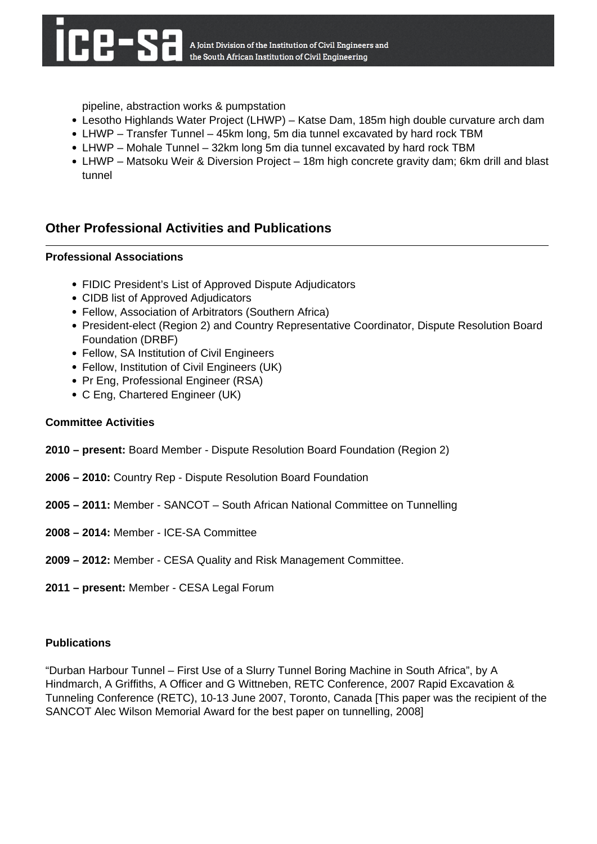pipeline, abstraction works & pumpstation

- Lesotho Highlands Water Project (LHWP) Katse Dam, 185m high double curvature arch dam
- LHWP Transfer Tunnel 45km long, 5m dia tunnel excavated by hard rock TBM
- LHWP Mohale Tunnel 32km long 5m dia tunnel excavated by hard rock TBM
- LHWP Matsoku Weir & Diversion Project 18m high concrete gravity dam; 6km drill and blast tunnel

## **Other Professional Activities and Publications**

### **Professional Associations**

- FIDIC President's List of Approved Dispute Adjudicators
- CIDB list of Approved Adjudicators
- Fellow, Association of Arbitrators (Southern Africa)
- President-elect (Region 2) and Country Representative Coordinator, Dispute Resolution Board Foundation (DRBF)
- Fellow, SA Institution of Civil Engineers
- Fellow, Institution of Civil Engineers (UK)
- Pr Eng, Professional Engineer (RSA)
- C Eng, Chartered Engineer (UK)

### **Committee Activities**

- **2010 present:** Board Member Dispute Resolution Board Foundation (Region 2)
- **2006 2010:** Country Rep Dispute Resolution Board Foundation
- **2005 2011:** Member SANCOT South African National Committee on Tunnelling
- **2008 2014:** Member ICE-SA Committee
- **2009 2012:** Member CESA Quality and Risk Management Committee.
- **2011 present:** Member CESA Legal Forum

### **Publications**

"Durban Harbour Tunnel – First Use of a Slurry Tunnel Boring Machine in South Africa", by A Hindmarch, A Griffiths, A Officer and G Wittneben, RETC Conference, 2007 Rapid Excavation & Tunneling Conference (RETC), 10-13 June 2007, Toronto, Canada [This paper was the recipient of the SANCOT Alec Wilson Memorial Award for the best paper on tunnelling, 2008]